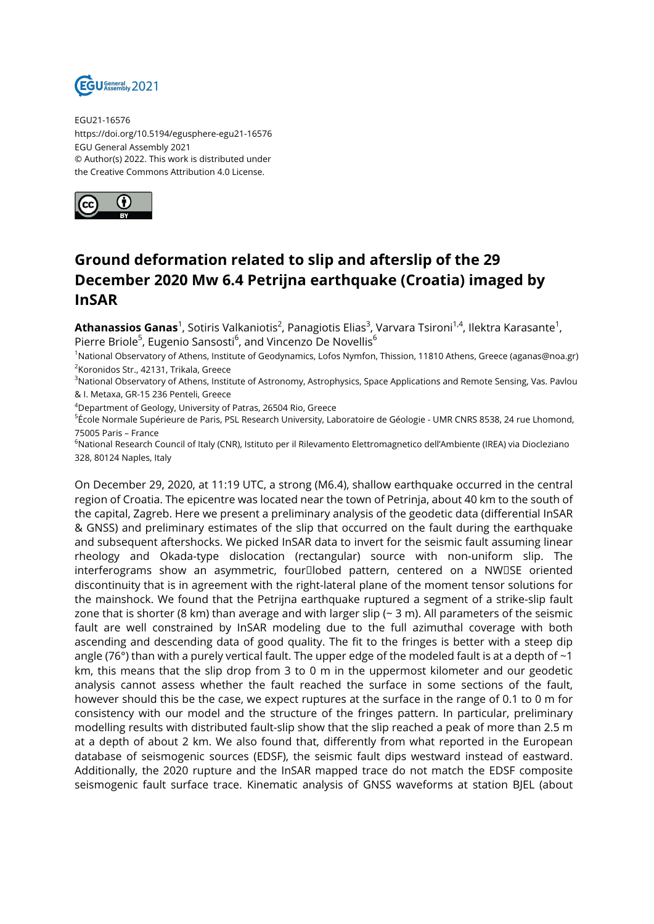

EGU21-16576 https://doi.org/10.5194/egusphere-egu21-16576 EGU General Assembly 2021 © Author(s) 2022. This work is distributed under the Creative Commons Attribution 4.0 License.



## **Ground deformation related to slip and afterslip of the 29 December 2020 Mw 6.4 Petrijna earthquake (Croatia) imaged by InSAR**

**Athanassios Ganas**<sup>1</sup>, Sotiris Valkaniotis<sup>2</sup>, Panagiotis Elias<sup>3</sup>, Varvara Tsironi<sup>1,4</sup>, Ilektra Karasante<sup>1</sup>, Pierre Briole<sup>5</sup>, Eugenio Sansosti<sup>6</sup>, and Vincenzo De Novellis<sup>6</sup>

<sup>1</sup>National Observatory of Athens, Institute of Geodynamics, Lofos Nymfon, Thission, 11810 Athens, Greece (aganas@noa.gr) 2 Koronidos Str., 42131, Trikala, Greece

<sup>3</sup>National Observatory of Athens, Institute of Astronomy, Astrophysics, Space Applications and Remote Sensing, Vas. Pavlou & I. Metaxa, GR-15 236 Penteli, Greece

<sup>4</sup>Department of Geology, University of Patras, 26504 Rio, Greece

<sup>5</sup>École Normale Supérieure de Paris, PSL Research University, Laboratoire de Géologie - UMR CNRS 8538, 24 rue Lhomond, 75005 Paris – France

<sup>6</sup>National Research Council of Italy (CNR), Istituto per il Rilevamento Elettromagnetico dell'Ambiente (IREA) via Diocleziano 328, 80124 Naples, Italy

On December 29, 2020, at 11:19 UTC, a strong (M6.4), shallow earthquake occurred in the central region of Croatia. The epicentre was located near the town of Petrinja, about 40 km to the south of the capital, Zagreb. Here we present a preliminary analysis of the geodetic data (differential InSAR & GNSS) and preliminary estimates of the slip that occurred on the fault during the earthquake and subsequent aftershocks. We picked InSAR data to invert for the seismic fault assuming linear rheology and Okada-type dislocation (rectangular) source with non-uniform slip. The interferograms show an asymmetric, four<sup>[]</sup>lobed pattern, centered on a NW<sup>[]</sup>SE oriented discontinuity that is in agreement with the right-lateral plane of the moment tensor solutions for the mainshock. We found that the Petrijna earthquake ruptured a segment of a strike-slip fault zone that is shorter (8 km) than average and with larger slip ( $\sim$  3 m). All parameters of the seismic fault are well constrained by InSAR modeling due to the full azimuthal coverage with both ascending and descending data of good quality. The fit to the fringes is better with a steep dip angle (76°) than with a purely vertical fault. The upper edge of the modeled fault is at a depth of  $\sim$ 1 km, this means that the slip drop from 3 to 0 m in the uppermost kilometer and our geodetic analysis cannot assess whether the fault reached the surface in some sections of the fault, however should this be the case, we expect ruptures at the surface in the range of 0.1 to 0 m for consistency with our model and the structure of the fringes pattern. In particular, preliminary modelling results with distributed fault-slip show that the slip reached a peak of more than 2.5 m at a depth of about 2 km. We also found that, differently from what reported in the European database of seismogenic sources (EDSF), the seismic fault dips westward instead of eastward. Additionally, the 2020 rupture and the InSAR mapped trace do not match the EDSF composite seismogenic fault surface trace. Kinematic analysis of GNSS waveforms at station BJEL (about